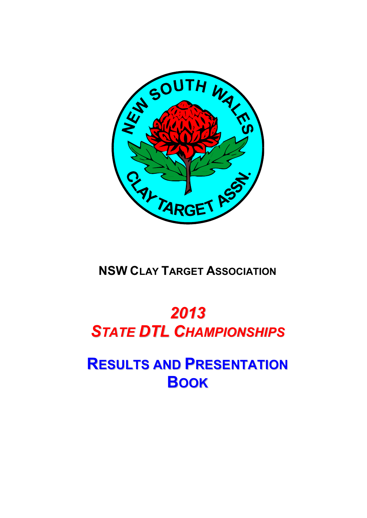

**NSW CLAY TARGET ASSOCIATION**

# *2013 STATE DTL CHAMPIONSHIPS*

**RESULTS AND PRESENTATION BOOK**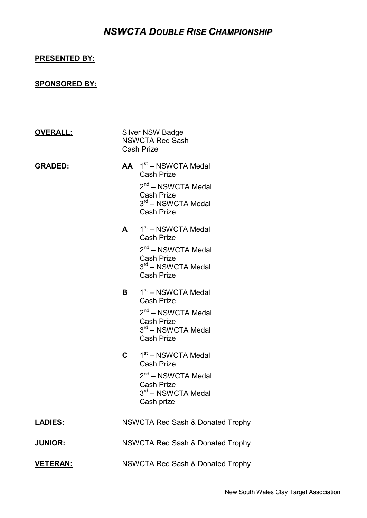### *NSWCTA DOUBLE RISE CHAMPIONSHIP*

### **PRESENTED BY:**

### **SPONSORED BY:**

| <b>OVERALL:</b> |              | <b>Silver NSW Badge</b><br><b>NSWCTA Red Sash</b><br><b>Cash Prize</b>                                                                                |
|-----------------|--------------|-------------------------------------------------------------------------------------------------------------------------------------------------------|
| <b>GRADED:</b>  |              | $AA$ 1 <sup>st</sup> – NSWCTA Medal<br><b>Cash Prize</b><br>2 <sup>nd</sup> – NSWCTA Medal<br>Cash Prize<br>$3rd$ – NSWCTA Medal<br><b>Cash Prize</b> |
|                 |              | $A = 1st - NSWCTA Medal$<br><b>Cash Prize</b><br>$2nd$ – NSWCTA Medal<br><b>Cash Prize</b><br>3 <sup>rd</sup> – NSWCTA Medal<br><b>Cash Prize</b>     |
|                 |              | $B = 1st - NSWCTA Medal$<br><b>Cash Prize</b><br>$2nd$ – NSWCTA Medal<br>Cash Prize<br>$3rd$ – NSWCTA Medal<br><b>Cash Prize</b>                      |
|                 | $\mathbf{C}$ | 1 <sup>st</sup> – NSWCTA Medal<br><b>Cash Prize</b><br>2 <sup>nd</sup> – NSWCTA Medal<br><b>Cash Prize</b><br>3rd - NSWCTA Medal<br>Cash prize        |
| <b>LADIES:</b>  |              | <b>NSWCTA Red Sash &amp; Donated Trophy</b>                                                                                                           |
| <u>JUNIOR:</u>  |              | <b>NSWCTA Red Sash &amp; Donated Trophy</b>                                                                                                           |
| <u>VETERAN:</u> |              | <b>NSWCTA Red Sash &amp; Donated Trophy</b>                                                                                                           |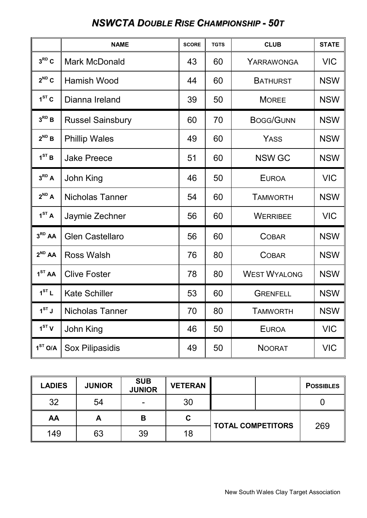### *NSWCTA DOUBLE RISE CHAMPIONSHIP - 50T*

|                     | <b>NAME</b>             | <b>SCORE</b> | <b>TGTS</b> | <b>CLUB</b>         | <b>STATE</b> |
|---------------------|-------------------------|--------------|-------------|---------------------|--------------|
| $3^{RD}C$           | <b>Mark McDonald</b>    | 43           | 60          | YARRAWONGA          | <b>VIC</b>   |
| $2^{ND}C$           | <b>Hamish Wood</b>      | 44           | 60          | <b>BATHURST</b>     | <b>NSW</b>   |
| $1ST$ C             | Dianna Ireland          | 39           | 50          | <b>MOREE</b>        | <b>NSW</b>   |
| $3^{RD}B$           | <b>Russel Sainsbury</b> | 60           | 70          | <b>BOGG/GUNN</b>    | <b>NSW</b>   |
| $2^{ND}B$           | <b>Phillip Wales</b>    | 49           | 60          | <b>YASS</b>         | <b>NSW</b>   |
| 1 <sup>ST</sup> B   | <b>Jake Preece</b>      | 51           | 60          | <b>NSW GC</b>       | <b>NSW</b>   |
| $3^{RD}A$           | John King               | 46           | 50          | <b>EUROA</b>        | <b>VIC</b>   |
| $2^{ND}$ A          | <b>Nicholas Tanner</b>  | 54           | 60          | <b>TAMWORTH</b>     | <b>NSW</b>   |
| 1 <sup>ST</sup> A   | Jaymie Zechner          | 56           | 60          | <b>WERRIBEE</b>     | <b>VIC</b>   |
| 3 <sup>RD</sup> AA  | <b>Glen Castellaro</b>  | 56           | 60          | <b>COBAR</b>        | <b>NSW</b>   |
| $2^{ND}$ AA         | <b>Ross Walsh</b>       | 76           | 80          | <b>COBAR</b>        | <b>NSW</b>   |
| 1 <sup>ST</sup> AA  | <b>Clive Foster</b>     | 78           | 80          | <b>WEST WYALONG</b> | <b>NSW</b>   |
| 1 <sup>ST</sup> L   | <b>Kate Schiller</b>    | 53           | 60          | <b>GRENFELL</b>     | <b>NSW</b>   |
| $1^{ST}$ J          | Nicholas Tanner         | 70           | 80          | <b>TAMWORTH</b>     | <b>NSW</b>   |
| 1 <sup>ST</sup> V   | John King               | 46           | 50          | <b>EUROA</b>        | <b>VIC</b>   |
| 1 <sup>ST</sup> O/A | <b>Sox Pilipasidis</b>  | 49           | 50          | <b>NOORAT</b>       | <b>VIC</b>   |

| <b>LADIES</b> | <b>JUNIOR</b> | <b>SUB</b><br><b>JUNIOR</b> | <b>VETERAN</b> |                          |  | <b>POSSIBLES</b> |
|---------------|---------------|-----------------------------|----------------|--------------------------|--|------------------|
| 32            | 54            |                             | 30             |                          |  |                  |
| AA            | A             | В                           | C              | <b>TOTAL COMPETITORS</b> |  |                  |
| 149           | 63            | 39                          | 18             |                          |  | 269              |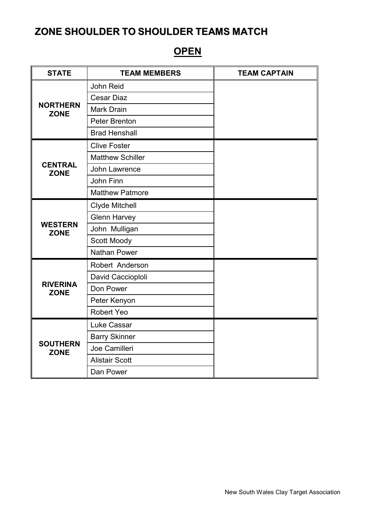# **OPEN**

| <b>STATE</b>                   | <b>TEAM MEMBERS</b>     | <b>TEAM CAPTAIN</b> |
|--------------------------------|-------------------------|---------------------|
|                                | John Reid               |                     |
|                                | <b>Cesar Diaz</b>       |                     |
| <b>NORTHERN</b><br><b>ZONE</b> | <b>Mark Drain</b>       |                     |
|                                | Peter Brenton           |                     |
|                                | <b>Brad Henshall</b>    |                     |
|                                | <b>Clive Foster</b>     |                     |
|                                | <b>Matthew Schiller</b> |                     |
| <b>CENTRAL</b><br><b>ZONE</b>  | John Lawrence           |                     |
|                                | John Finn               |                     |
|                                | <b>Matthew Patmore</b>  |                     |
|                                | Clyde Mitchell          |                     |
|                                | <b>Glenn Harvey</b>     |                     |
| <b>WESTERN</b><br><b>ZONE</b>  | John Mulligan           |                     |
|                                | Scott Moody             |                     |
|                                | <b>Nathan Power</b>     |                     |
|                                | Robert Anderson         |                     |
|                                | David Caccioploli       |                     |
| <b>RIVERINA</b><br><b>ZONE</b> | Don Power               |                     |
|                                | Peter Kenyon            |                     |
|                                | Robert Yeo              |                     |
|                                | Luke Cassar             |                     |
| <b>SOUTHERN</b><br><b>ZONE</b> | <b>Barry Skinner</b>    |                     |
|                                | Joe Camilleri           |                     |
|                                | <b>Alistair Scott</b>   |                     |
|                                | Dan Power               |                     |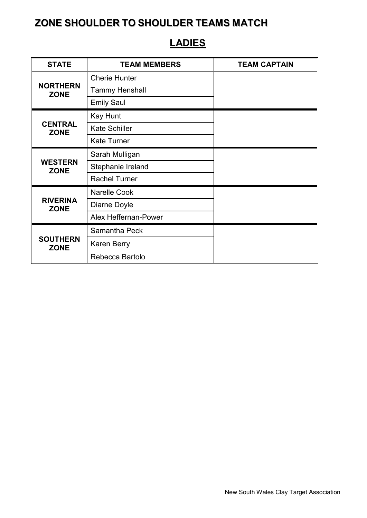#### STATE **TEAM MEMBERS** TEAM CAPTAIN **NORTHERN ZONE** Cherie Hunter Tammy Henshall Emily Saul **CENTRAL ZONE** Kay Hunt Kate Schiller Kate Turner **WESTERN ZONE** Sarah Mulligan Stephanie Ireland Rachel Turner **RIVERINA ZONE** Narelle Cook Diarne Doyle Alex Heffernan-Power **SOUTHERN ZONE** Samantha Peck Karen Berry Rebecca Bartolo

### **LADIES**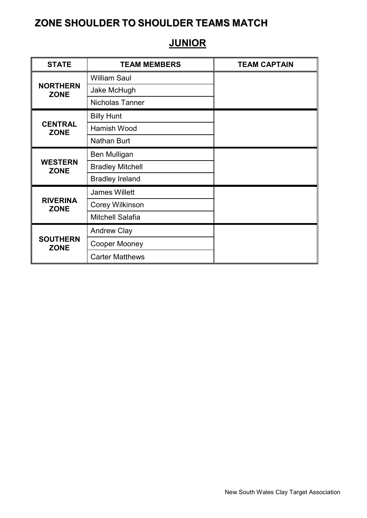#### STATE **TEAM MEMBERS** TEAM CAPTAIN **NORTHERN ZONE** William Saul Jake McHugh Nicholas Tanner **CENTRAL ZONE** Billy Hunt Hamish Wood Nathan Burt **WESTERN ZONE** Ben Mulligan Bradley Mitchell Bradley Ireland **RIVERINA ZONE** James Willett Corey Wilkinson Mitchell Salafia **SOUTHERN ZONE** Andrew Clay Cooper Mooney Carter Matthews

### **JUNIOR**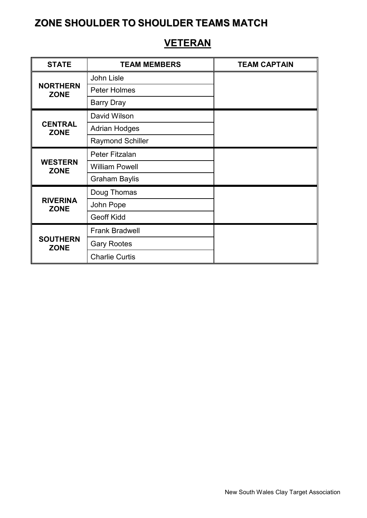#### STATE **TEAM MEMBERS TEAM CAPTAIN NORTHERN ZONE** John Lisle Peter Holmes Barry Dray **CENTRAL ZONE** David Wilson Adrian Hodges Raymond Schiller **WESTERN ZONE** Peter Fitzalan William Powell Graham Baylis **RIVERINA ZONE** Doug Thomas John Pope Geoff Kidd **SOUTHERN ZONE** Frank Bradwell Gary Rootes Charlie Curtis

### **VETERAN**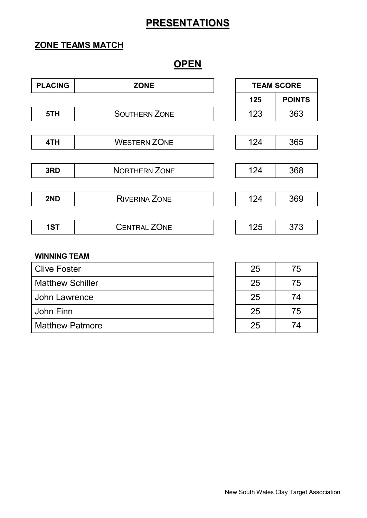# **ZONE TEAMS MATCH**

### **OPEN**

| <b>PLACING</b> | <b>ZONE</b>          | <b>TEAM SCORE</b> |               |  |
|----------------|----------------------|-------------------|---------------|--|
|                |                      | 125               | <b>POINTS</b> |  |
| 5TH            | <b>SOUTHERN ZONE</b> | 123               | 363           |  |
|                |                      |                   |               |  |
| 4TH            | <b>WESTERN ZONE</b>  | 124               | 365           |  |
|                |                      |                   |               |  |
| 3RD            | <b>NORTHERN ZONE</b> | 124               | 368           |  |
|                |                      |                   |               |  |
| 2ND            | <b>RIVERINA ZONE</b> | 124               | 369           |  |
|                |                      |                   |               |  |
| 1ST            | <b>CENTRAL ZONE</b>  | 125               | 373           |  |
|                |                      |                   |               |  |

#### **WINNING TEAM**

| Clive Foster            | 25 | 75 |
|-------------------------|----|----|
| <b>Matthew Schiller</b> | 25 | 75 |
| John Lawrence           | 25 | 74 |
| John Finn               | 25 | 75 |
| <b>Matthew Patmore</b>  | 25 | 74 |

| 25 | 75 |
|----|----|
| 25 | 75 |
| 25 | 74 |
| 25 | 75 |
| 25 | 74 |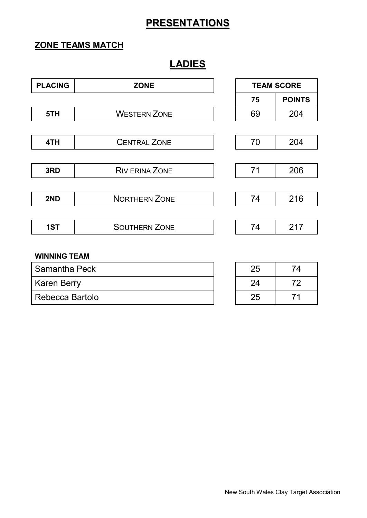### **ZONE TEAMS MATCH**

# **LADIES**

| <b>PLACING</b>      | <b>ZONE</b>           | <b>TEAM SCORE</b> |               |  |
|---------------------|-----------------------|-------------------|---------------|--|
|                     |                       | 75                | <b>POINTS</b> |  |
| 5TH                 | <b>WESTERN ZONE</b>   | 69                | 204           |  |
|                     |                       |                   |               |  |
| 4TH                 | <b>CENTRAL ZONE</b>   | 70                | 204           |  |
|                     |                       |                   |               |  |
| 3RD                 | <b>RIV ERINA ZONE</b> | 71                | 206           |  |
|                     |                       |                   |               |  |
| 2ND                 | <b>NORTHERN ZONE</b>  | 74                | 216           |  |
|                     |                       |                   |               |  |
| 1ST                 | <b>SOUTHERN ZONE</b>  | 74                | 217           |  |
|                     |                       |                   |               |  |
| <b>WINNING TEAM</b> |                       |                   |               |  |

| Samantha Peck      | 25 | $\lambda$ |
|--------------------|----|-----------|
| <b>Karen Berry</b> | 24 |           |
| Rebecca Bartolo    | 25 |           |

| 25 | 74 |
|----|----|
| 24 | 72 |
| 25 | 71 |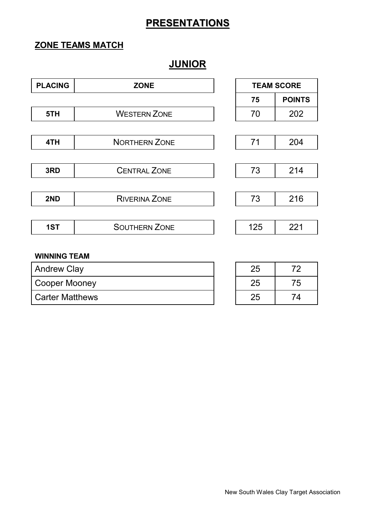### **ZONE TEAMS MATCH**

# **JUNIOR**

| <b>PLACING</b>      | <b>ZONE</b>          | <b>TEAM SCORE</b> |               |  |
|---------------------|----------------------|-------------------|---------------|--|
|                     |                      | 75                | <b>POINTS</b> |  |
| 5TH                 | <b>WESTERN ZONE</b>  | 70                | 202           |  |
|                     |                      |                   |               |  |
| 4TH                 | <b>NORTHERN ZONE</b> | 71                | 204           |  |
|                     |                      |                   |               |  |
| 3RD                 | <b>CENTRAL ZONE</b>  | 73                | 214           |  |
|                     |                      |                   |               |  |
| 2ND                 | <b>RIVERINA ZONE</b> | 73                | 216           |  |
|                     |                      |                   |               |  |
| 1ST                 | <b>SOUTHERN ZONE</b> | 125               | 221           |  |
|                     |                      |                   |               |  |
| <b>WINNING TEAM</b> |                      |                   |               |  |

| <b>Andrew Clay</b>     | 25 |    |
|------------------------|----|----|
| <b>Cooper Mooney</b>   | 25 | 75 |
| <b>Carter Matthews</b> | 25 | 74 |

| 25 | 72 |
|----|----|
| 25 | 75 |
| 25 | 74 |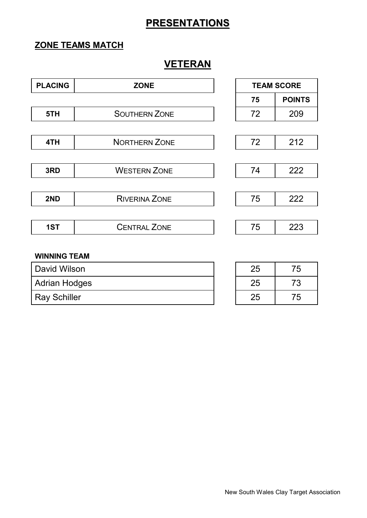### **ZONE TEAMS MATCH**

### **VETERAN**

| <b>PLACING</b> | <b>ZONE</b>          | <b>TEAM SCORE</b> |               |  |
|----------------|----------------------|-------------------|---------------|--|
|                |                      | 75                | <b>POINTS</b> |  |
| 5TH            | <b>SOUTHERN ZONE</b> | 72                | 209           |  |
|                |                      |                   |               |  |
| 4TH            | <b>NORTHERN ZONE</b> | 72                | 212           |  |
|                |                      |                   |               |  |
| 3RD            | <b>WESTERN ZONE</b>  | 74                | 222           |  |
|                |                      |                   |               |  |
| 2ND            | <b>RIVERINA ZONE</b> | 75                | 222           |  |
|                |                      |                   |               |  |
| 1ST            | <b>CENTRAL ZONE</b>  | 75                | 223           |  |
|                |                      |                   |               |  |

#### **WINNING TEAM**

| David Wilson         | 25 | 75 |
|----------------------|----|----|
| <b>Adrian Hodges</b> | 25 | '3 |
| <b>Ray Schiller</b>  | 25 | 75 |

| 25 | 75 |
|----|----|
| 25 | 73 |
| 25 | 75 |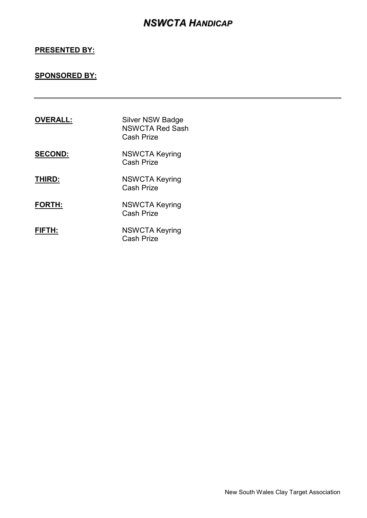### *NSWCTA HANDICAP*

### **PRESENTED BY:**

### **SPONSORED BY:**

| <b>OVERALL:</b> | <b>Silver NSW Badge</b><br><b>NSWCTA Red Sash</b><br>Cash Prize |
|-----------------|-----------------------------------------------------------------|
| <b>SECOND:</b>  | <b>NSWCTA Keyring</b><br><b>Cash Prize</b>                      |
| THIRD:          | <b>NSWCTA Keyring</b><br><b>Cash Prize</b>                      |
| <b>FORTH:</b>   | <b>NSWCTA Keyring</b><br>Cash Prize                             |
| FIFTH:          | <b>NSWCTA Keyring</b><br>Cash Prize                             |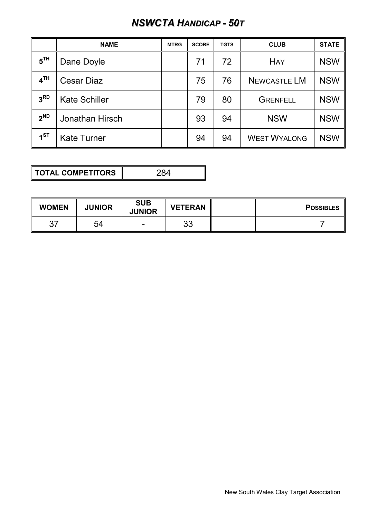# *NSWCTA HANDICAP - 50T*

|                 | <b>NAME</b>          | <b>MTRG</b> | <b>SCORE</b> | <b>TGTS</b> | <b>CLUB</b>         | <b>STATE</b> |
|-----------------|----------------------|-------------|--------------|-------------|---------------------|--------------|
| 5 <sup>TH</sup> | Dane Doyle           |             | 71           | 72          | <b>HAY</b>          | <b>NSW</b>   |
| 4 <sup>TH</sup> | <b>Cesar Diaz</b>    |             | 75           | 76          | <b>NEWCASTLE LM</b> | <b>NSW</b>   |
| 3 <sup>RD</sup> | <b>Kate Schiller</b> |             | 79           | 80          | <b>GRENFELL</b>     | <b>NSW</b>   |
| $2^{ND}$        | Jonathan Hirsch      |             | 93           | 94          | <b>NSW</b>          | <b>NSW</b>   |
| 1 <sup>ST</sup> | <b>Kate Turner</b>   |             | 94           | 94          | <b>WEST WYALONG</b> | <b>NSW</b>   |

**TOTAL COMPETITORS** 284

| <b>WOMEN</b> | <b>JUNIOR</b> | <b>SUB</b><br><b>JUNIOR</b> | <b>VETERAN</b> |  | <b>POSSIBLES</b> |
|--------------|---------------|-----------------------------|----------------|--|------------------|
|              | 54            | $\sim$                      | ົດ<br>ບບ       |  |                  |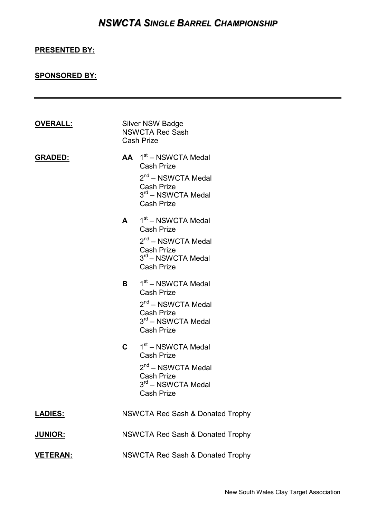# *NSWCTA SINGLE BARREL CHAMPIONSHIP*

### **PRESENTED BY:**

### **SPONSORED BY:**

| <b>OVERALL:</b> |              | Silver NSW Badge<br><b>NSWCTA Red Sash</b><br><b>Cash Prize</b>                                                                                         |
|-----------------|--------------|---------------------------------------------------------------------------------------------------------------------------------------------------------|
| <b>GRADED:</b>  |              | $AA$ 1 <sup>st</sup> – NSWCTA Medal<br><b>Cash Prize</b><br>$2nd$ – NSWCTA Medal<br><b>Cash Prize</b><br>$3rd$ – NSWCTA Medal<br><b>Cash Prize</b>      |
|                 | $\mathsf{A}$ | 1 <sup>st</sup> – NSWCTA Medal<br><b>Cash Prize</b><br>$2nd$ – NSWCTA Medal<br><b>Cash Prize</b><br>3 <sup>rd</sup> – NSWCTA Medal<br><b>Cash Prize</b> |
|                 |              | $B = 1st - NSWCTA Medal$<br><b>Cash Prize</b><br>$2nd$ – NSWCTA Medal<br><b>Cash Prize</b><br>$3rd$ – NSWCTA Medal<br><b>Cash Prize</b>                 |
|                 | $\mathbf{C}$ | 1 <sup>st</sup> – NSWCTA Medal<br><b>Cash Prize</b><br>$2nd$ – NSWCTA Medal<br><b>Cash Prize</b><br>$3rd$ – NSWCTA Medal<br><b>Cash Prize</b>           |
| <b>LADIES:</b>  |              | <b>NSWCTA Red Sash &amp; Donated Trophy</b>                                                                                                             |
| <b>JUNIOR:</b>  |              | <b>NSWCTA Red Sash &amp; Donated Trophy</b>                                                                                                             |
| <b>VETERAN:</b> |              | <b>NSWCTA Red Sash &amp; Donated Trophy</b>                                                                                                             |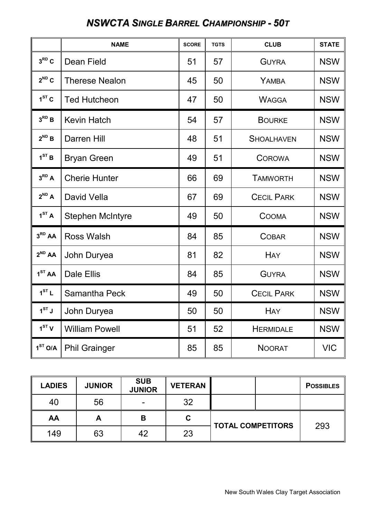# *NSWCTA SINGLE BARREL CHAMPIONSHIP - 50T*

|                     | <b>NAME</b>             | <b>SCORE</b> | <b>TGTS</b> | <b>CLUB</b>       | <b>STATE</b> |
|---------------------|-------------------------|--------------|-------------|-------------------|--------------|
| $3^{RD}C$           | Dean Field              | 51           | 57          | <b>GUYRA</b>      | <b>NSW</b>   |
| $2^{ND}C$           | <b>Therese Nealon</b>   | 45           | 50          | YAMBA             | <b>NSW</b>   |
| $1ST$ C             | <b>Ted Hutcheon</b>     | 47           | 50          | <b>WAGGA</b>      | <b>NSW</b>   |
| $3^{RD}B$           | <b>Kevin Hatch</b>      | 54           | 57          | <b>BOURKE</b>     | <b>NSW</b>   |
| $2^{ND}$ B          | Darren Hill             | 48           | 51          | <b>SHOALHAVEN</b> | <b>NSW</b>   |
| 1 <sup>ST</sup> B   | <b>Bryan Green</b>      | 49           | 51          | <b>COROWA</b>     | <b>NSW</b>   |
| $3^{RD}$ A          | <b>Cherie Hunter</b>    | 66           | 69          | <b>TAMWORTH</b>   | <b>NSW</b>   |
| $2^{ND}$ A          | David Vella             | 67           | 69          | <b>CECIL PARK</b> | <b>NSW</b>   |
| 1 <sup>ST</sup> A   | <b>Stephen McIntyre</b> | 49           | 50          | <b>COOMA</b>      | <b>NSW</b>   |
| 3 <sup>RD</sup> AA  | <b>Ross Walsh</b>       | 84           | 85          | <b>COBAR</b>      | <b>NSW</b>   |
| $2^{ND}$ AA         | John Duryea             | 81           | 82          | <b>HAY</b>        | <b>NSW</b>   |
| 1 <sup>ST</sup> AA  | <b>Dale Ellis</b>       | 84           | 85          | <b>GUYRA</b>      | <b>NSW</b>   |
| 1 <sup>ST</sup> L   | Samantha Peck           | 49           | 50          | <b>CECIL PARK</b> | <b>NSW</b>   |
| $1^{ST}$ J          | John Duryea             | 50           | 50          | <b>HAY</b>        | <b>NSW</b>   |
| 1 <sup>ST</sup> V   | <b>William Powell</b>   | 51           | 52          | <b>HERMIDALE</b>  | <b>NSW</b>   |
| 1 <sup>ST</sup> O/A | <b>Phil Grainger</b>    | 85           | 85          | <b>NOORAT</b>     | <b>VIC</b>   |

| <b>LADIES</b> | <b>JUNIOR</b> | <b>SUB</b><br><b>JUNIOR</b> | <b>VETERAN</b> |                          |  | <b>POSSIBLES</b> |
|---------------|---------------|-----------------------------|----------------|--------------------------|--|------------------|
| 40            | 56            |                             | 32             |                          |  |                  |
| AA            | A             | В                           | С              | <b>TOTAL COMPETITORS</b> |  |                  |
| 149           | 63            | 42                          | 23             |                          |  | 293              |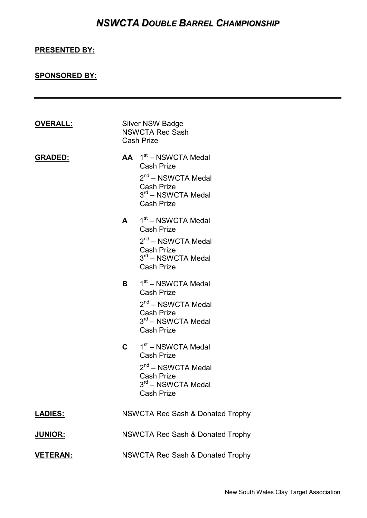### *NSWCTA DOUBLE BARREL CHAMPIONSHIP*

### **PRESENTED BY:**

### **SPONSORED BY:**

| <b>OVERALL:</b> | Silver NSW Badge<br><b>NSWCTA Red Sash</b><br><b>Cash Prize</b>                                                                                    |
|-----------------|----------------------------------------------------------------------------------------------------------------------------------------------------|
| <b>GRADED:</b>  | $AA$ 1 <sup>st</sup> – NSWCTA Medal<br><b>Cash Prize</b><br>$2nd$ – NSWCTA Medal<br><b>Cash Prize</b><br>$3rd$ – NSWCTA Medal<br><b>Cash Prize</b> |
|                 | $A = 1st - NSWCTA Medal$<br><b>Cash Prize</b><br>$2nd$ – NSWCTA Medal<br><b>Cash Prize</b><br>$3rd$ – NSWCTA Medal<br><b>Cash Prize</b>            |
|                 | $B = 1st - NSWCTA Medal$<br><b>Cash Prize</b><br>$2nd$ – NSWCTA Medal<br><b>Cash Prize</b><br>$3rd$ – NSWCTA Medal<br><b>Cash Prize</b>            |
|                 | $C = 1st - NSWCTA Medal$<br><b>Cash Prize</b><br>$2nd$ – NSWCTA Medal<br><b>Cash Prize</b><br>3rd - NSWCTA Medal<br><b>Cash Prize</b>              |
| <b>LADIES:</b>  | <b>NSWCTA Red Sash &amp; Donated Trophy</b>                                                                                                        |
| <b>JUNIOR:</b>  | <b>NSWCTA Red Sash &amp; Donated Trophy</b>                                                                                                        |
| <b>VETERAN:</b> | <b>NSWCTA Red Sash &amp; Donated Trophy</b>                                                                                                        |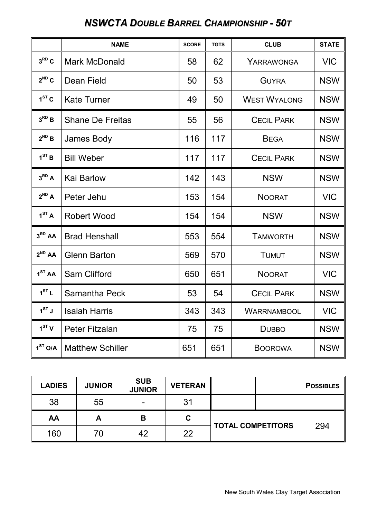# *NSWCTA DOUBLE BARREL CHAMPIONSHIP - 50T*

|                     | <b>NAME</b>             | <b>SCORE</b> | <b>TGTS</b> | <b>CLUB</b>         | <b>STATE</b> |
|---------------------|-------------------------|--------------|-------------|---------------------|--------------|
| $3^{RD}C$           | <b>Mark McDonald</b>    | 58           | 62          | YARRAWONGA          | <b>VIC</b>   |
| $2^{ND}C$           | Dean Field              | 50           | 53          | <b>GUYRA</b>        | <b>NSW</b>   |
| $1ST$ C             | <b>Kate Turner</b>      | 49           | 50          | <b>WEST WYALONG</b> | <b>NSW</b>   |
| $3^{RD}$ B          | <b>Shane De Freitas</b> | 55           | 56          | <b>CECIL PARK</b>   | <b>NSW</b>   |
| $2^{ND}$ B          | James Body              | 116          | 117         | <b>BEGA</b>         | <b>NSW</b>   |
| 1 <sup>ST</sup> B   | <b>Bill Weber</b>       | 117          | 117         | <b>CECIL PARK</b>   | <b>NSW</b>   |
| $3^{RD}A$           | Kai Barlow              | 142          | 143         | <b>NSW</b>          | <b>NSW</b>   |
| $2^{ND}$ A          | Peter Jehu              | 153          | 154         | <b>NOORAT</b>       | <b>VIC</b>   |
| 1 <sup>ST</sup> A   | <b>Robert Wood</b>      | 154          | 154         | <b>NSW</b>          | <b>NSW</b>   |
| 3 <sup>RD</sup> AA  | <b>Brad Henshall</b>    | 553          | 554         | <b>TAMWORTH</b>     | <b>NSW</b>   |
| $2^{ND}$ AA         | <b>Glenn Barton</b>     | 569          | 570         | <b>TUMUT</b>        | <b>NSW</b>   |
| 1 <sup>ST</sup> AA  | Sam Clifford            | 650          | 651         | <b>NOORAT</b>       | <b>VIC</b>   |
| 1 <sup>ST</sup> L   | Samantha Peck           | 53           | 54          | <b>CECIL PARK</b>   | <b>NSW</b>   |
| $1^{ST}$ J          | <b>Isaiah Harris</b>    | 343          | 343         | WARRNAMBOOL         | <b>VIC</b>   |
| 1 <sup>ST</sup> V   | Peter Fitzalan          | 75           | 75          | <b>DUBBO</b>        | <b>NSW</b>   |
| 1 <sup>ST</sup> O/A | <b>Matthew Schiller</b> | 651          | 651         | <b>BOOROWA</b>      | <b>NSW</b>   |

| <b>LADIES</b> | <b>JUNIOR</b> | <b>SUB</b><br><b>JUNIOR</b> | <b>VETERAN</b> |                          | <b>POSSIBLES</b> |
|---------------|---------------|-----------------------------|----------------|--------------------------|------------------|
| 38            | 55            |                             | 31             |                          |                  |
| AA            | A             | В                           | С              | <b>TOTAL COMPETITORS</b> | 294              |
| 160           | 70            | 42                          | 22             |                          |                  |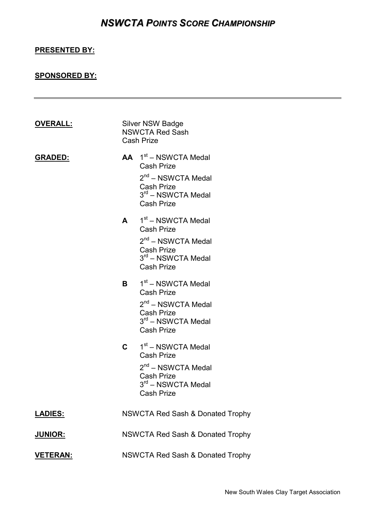### *NSWCTA POINTS SCORE CHAMPIONSHIP*

### **PRESENTED BY:**

### **SPONSORED BY:**

| <b>OVERALL:</b> |              | Silver NSW Badge<br><b>NSWCTA Red Sash</b><br><b>Cash Prize</b>                                                                                         |
|-----------------|--------------|---------------------------------------------------------------------------------------------------------------------------------------------------------|
| <b>GRADED:</b>  |              | $AA$ 1 <sup>st</sup> – NSWCTA Medal<br><b>Cash Prize</b><br>$2nd$ – NSWCTA Medal<br><b>Cash Prize</b><br>$3rd$ – NSWCTA Medal<br><b>Cash Prize</b>      |
|                 | $\mathsf{A}$ | 1 <sup>st</sup> – NSWCTA Medal<br><b>Cash Prize</b><br>2 <sup>nd</sup> – NSWCTA Medal<br><b>Cash Prize</b><br>$3rd$ – NSWCTA Medal<br><b>Cash Prize</b> |
|                 | B.           | 1st – NSWCTA Medal<br><b>Cash Prize</b><br>2 <sup>nd</sup> – NSWCTA Medal<br><b>Cash Prize</b><br>$3rd$ – NSWCTA Medal<br><b>Cash Prize</b>             |
|                 | $\mathbf{C}$ | 1 <sup>st</sup> – NSWCTA Medal<br><b>Cash Prize</b><br>$2nd$ – NSWCTA Medal<br><b>Cash Prize</b><br>$3rd$ – NSWCTA Medal<br><b>Cash Prize</b>           |
| <b>LADIES:</b>  |              | <b>NSWCTA Red Sash &amp; Donated Trophy</b>                                                                                                             |
| <u>JUNIOR:</u>  |              | NSWCTA Red Sash & Donated Trophy                                                                                                                        |
| <u>VETERAN:</u> |              | <b>NSWCTA Red Sash &amp; Donated Trophy</b>                                                                                                             |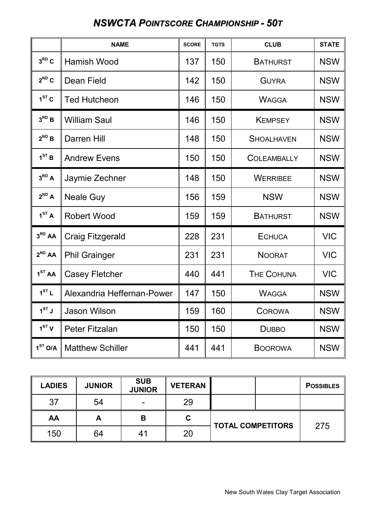### **NAME SCORE TGTS CLUB STATE**  $3^{RD}C$ **Robert Hamish Wood** 137 | 150 | BATHURST | NSW  $2^{ND}C$ **Dean Field 142 | 150 GUYRA NSW**  $1<sup>ST</sup>$  C Ted Hutcheon 146 | 150 WAGGA NSW  $3^{RD}$  **B William Saul 146 | 146 | 150 | KEMPSEY | NSW** 2<sup>ND</sup> B Darren Hill  $\begin{array}{|c|c|c|c|c|c|c|c|c|} \hline \text{148} & \text{150} & \text{ShoalHAVEN} & \text{NSW} \ \hline \end{array}$  $1<sup>ST</sup>$  **B** Andrew Evens 150 | 150 | 150 | COLEAMBALLY | NSW  $3^{RD}$  A **Jaymie Zechner** | 148 | 150 | WERRIBEE | NSW  $2^{ND}$  A **Neale Guy 156 | 159 | NSW | NSW | NSW | NSW | NSW | NSW | NSW | NSW | NSW | NSW | NSW | NSW | NSW | NSW | NSW | NSW | NSW | NSW | NSW | NSW | NSW | NSW | NSW | NSW | NSW | NSW | NSW | NSW | NSW | NSW | NSW | NSW | NSW | N**  $1<sup>ST</sup> A$ Robert Wood 159 | 159 | 159 | BATHURST | NSW  $3<sup>RD</sup>AA$ Craig Fitzgerald  $\vert$  228 | 231 | ECHUCA | VIC  $2^{ND}$ **AA** Phil Grainger 231 | 231 | NOORAT | VIC  $1<sup>ST</sup>AA$ Casey Fletcher  $\vert$  440 | 441 | THE COHUNA | VIC  $1<sup>ST</sup> L$ Alexandria Heffernan-Power 1 147 1 150 WAGGA NSW  $1^{ST}$ **J STARSON Wilson 159 | 159 | 160 | COROWA | NSW**  $1<sup>ST</sup> V$ Peter Fitzalan 150 | 150 | 150 | DUBBO | NSW  $1<sup>ST</sup>$  O/A **Matthew Schiller** 1441 441 BOOROWA NSW

### *NSWCTA POINTSCORE CHAMPIONSHIP - 50T*

| <b>LADIES</b> | <b>JUNIOR</b> | <b>SUB</b><br><b>JUNIOR</b> | <b>VETERAN</b> |                          | <b>POSSIBLES</b> |
|---------------|---------------|-----------------------------|----------------|--------------------------|------------------|
| 37            | 54            |                             | 29             |                          |                  |
| AA            | A             | В                           | С              | <b>TOTAL COMPETITORS</b> | 275              |
| 150           | 64            | 41                          | 20             |                          |                  |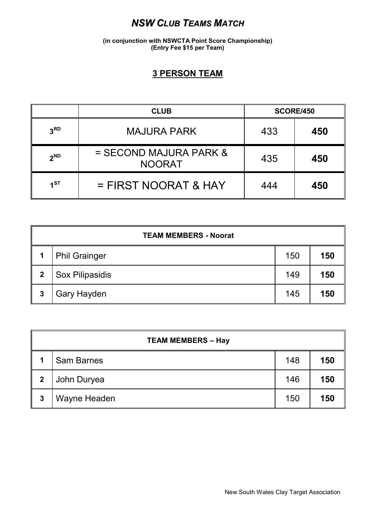### *NSW CLUB TEAMS MATCH*

**(in conjunction with NSWCTA Point Score Championship) (Entry Fee \$15 per Team)**

### **3 PERSON TEAM**

|                 | <b>CLUB</b>                               |     | <b>SCORE/450</b> |
|-----------------|-------------------------------------------|-----|------------------|
| 3 <sup>RD</sup> | <b>MAJURA PARK</b>                        | 433 | 450              |
| $2^{ND}$        | $=$ SECOND MAJURA PARK &<br><b>NOORAT</b> | 435 | 450              |
| 4 <sub>ST</sub> | $=$ FIRST NOORAT & HAY                    | 444 | 450              |

|             | <b>TEAM MEMBERS - Noorat</b> |     |     |  |  |  |
|-------------|------------------------------|-----|-----|--|--|--|
|             | <b>Phil Grainger</b>         | 150 | 150 |  |  |  |
| $\mathbf 2$ | Sox Pilipasidis              | 149 | 150 |  |  |  |
| 3           | <b>Gary Hayden</b>           | 145 | 150 |  |  |  |

|             | <b>TEAM MEMBERS - Hay</b> |     |     |  |  |  |
|-------------|---------------------------|-----|-----|--|--|--|
| 1           | <b>Sam Barnes</b>         | 148 | 150 |  |  |  |
| $\mathbf 2$ | John Duryea               | 146 | 150 |  |  |  |
| 3           | Wayne Headen              | 150 | 150 |  |  |  |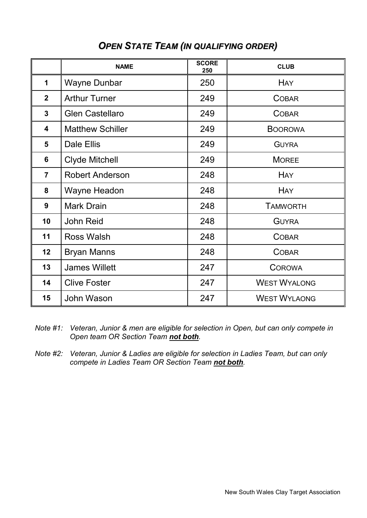|                         | <b>NAME</b>             | <b>SCORE</b><br>250 | <b>CLUB</b>         |
|-------------------------|-------------------------|---------------------|---------------------|
| $\mathbf 1$             | <b>Wayne Dunbar</b>     | 250                 | <b>HAY</b>          |
| 2 <sup>1</sup>          | <b>Arthur Turner</b>    | 249                 | <b>COBAR</b>        |
| $\mathbf{3}$            | <b>Glen Castellaro</b>  | 249                 | <b>COBAR</b>        |
| $\overline{\mathbf{4}}$ | <b>Matthew Schiller</b> | 249                 | <b>BOOROWA</b>      |
| 5                       | Dale Ellis              | 249                 | <b>GUYRA</b>        |
| 6                       | <b>Clyde Mitchell</b>   | 249                 | <b>MOREE</b>        |
| $\overline{7}$          | <b>Robert Anderson</b>  | 248                 | <b>HAY</b>          |
| 8                       | Wayne Headon            | 248                 | <b>HAY</b>          |
| 9                       | <b>Mark Drain</b>       | 248                 | <b>TAMWORTH</b>     |
| 10                      | <b>John Reid</b>        | 248                 | <b>GUYRA</b>        |
| 11                      | <b>Ross Walsh</b>       | 248                 | <b>COBAR</b>        |
| 12                      | <b>Bryan Manns</b>      | 248                 | <b>COBAR</b>        |
| 13                      | <b>James Willett</b>    | 247                 | <b>COROWA</b>       |
| 14                      | <b>Clive Foster</b>     | 247                 | <b>WEST WYALONG</b> |
| 15                      | John Wason              | 247                 | <b>WEST WYLAONG</b> |

### *OPEN STATE TEAM (IN QUALIFYING ORDER)*

- *Note #1: Veteran, Junior & men are eligible for selection in Open, but can only compete in Open team OR Section Team not both.*
- *Note #2: Veteran, Junior & Ladies are eligible for selection in Ladies Team, but can only compete in Ladies Team OR Section Team not both.*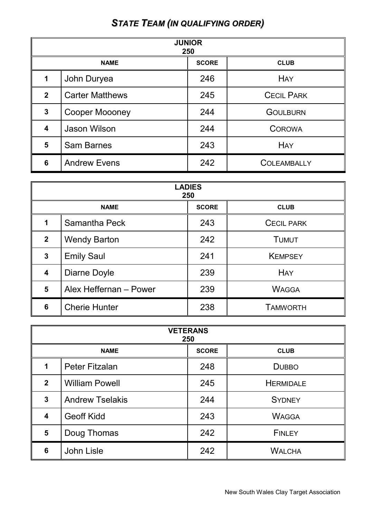# *STATE TEAM (IN QUALIFYING ORDER)*

| <b>JUNIOR</b><br>250    |                                            |     |                    |  |  |
|-------------------------|--------------------------------------------|-----|--------------------|--|--|
|                         | <b>NAME</b><br><b>SCORE</b><br><b>CLUB</b> |     |                    |  |  |
| 1                       | John Duryea                                | 246 | <b>HAY</b>         |  |  |
| $\mathbf{2}$            | <b>Carter Matthews</b>                     | 245 | <b>CECIL PARK</b>  |  |  |
| $\overline{3}$          | <b>Cooper Moooney</b>                      | 244 | <b>GOULBURN</b>    |  |  |
| $\overline{\mathbf{4}}$ | Jason Wilson                               | 244 | <b>COROWA</b>      |  |  |
| 5                       | <b>Sam Barnes</b>                          | 243 | <b>HAY</b>         |  |  |
| 6                       | <b>Andrew Evens</b>                        | 242 | <b>COLEAMBALLY</b> |  |  |

| <b>LADIES</b><br>250 |                                            |     |                   |  |  |  |
|----------------------|--------------------------------------------|-----|-------------------|--|--|--|
|                      | <b>SCORE</b><br><b>NAME</b><br><b>CLUB</b> |     |                   |  |  |  |
| 1                    | Samantha Peck                              | 243 | <b>CECIL PARK</b> |  |  |  |
| $\overline{2}$       | <b>Wendy Barton</b>                        | 242 | <b>TUMUT</b>      |  |  |  |
| $\overline{3}$       | <b>Emily Saul</b>                          | 241 | <b>KEMPSEY</b>    |  |  |  |
| 4                    | Diarne Doyle                               | 239 | <b>HAY</b>        |  |  |  |
| 5                    | Alex Heffernan - Power                     | 239 | <b>WAGGA</b>      |  |  |  |
| 6                    | <b>Cherie Hunter</b>                       | 238 | <b>TAMWORTH</b>   |  |  |  |

| <b>VETERANS</b><br>250 |                                            |     |                  |  |  |  |
|------------------------|--------------------------------------------|-----|------------------|--|--|--|
|                        | <b>SCORE</b><br><b>NAME</b><br><b>CLUB</b> |     |                  |  |  |  |
| 1                      | <b>Peter Fitzalan</b>                      | 248 | <b>DUBBO</b>     |  |  |  |
| $\mathbf{2}$           | <b>William Powell</b>                      | 245 | <b>HERMIDALE</b> |  |  |  |
| $\mathbf{3}$           | <b>Andrew Tselakis</b>                     | 244 | <b>SYDNEY</b>    |  |  |  |
| 4                      | <b>Geoff Kidd</b>                          | 243 | <b>WAGGA</b>     |  |  |  |
| $5\phantom{1}$         | Doug Thomas                                | 242 | <b>FINLEY</b>    |  |  |  |
| 6                      | <b>John Lisle</b>                          | 242 | <b>WALCHA</b>    |  |  |  |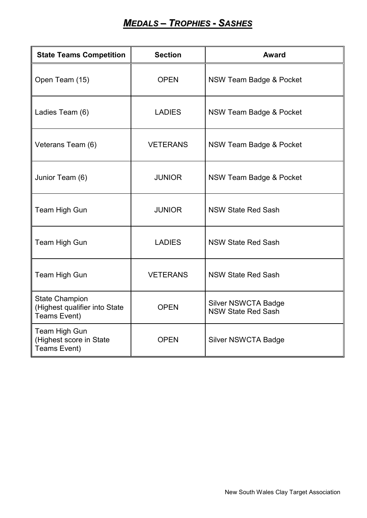# *MEDALS – TROPHIES - SASHES*

| <b>State Teams Competition</b>                                         | <b>Section</b>  | Award                                                   |
|------------------------------------------------------------------------|-----------------|---------------------------------------------------------|
| Open Team (15)                                                         | <b>OPEN</b>     | NSW Team Badge & Pocket                                 |
| Ladies Team (6)                                                        | <b>LADIES</b>   | NSW Team Badge & Pocket                                 |
| Veterans Team (6)                                                      | <b>VETERANS</b> | NSW Team Badge & Pocket                                 |
| Junior Team (6)                                                        | <b>JUNIOR</b>   | NSW Team Badge & Pocket                                 |
| Team High Gun                                                          | <b>JUNIOR</b>   | <b>NSW State Red Sash</b>                               |
| Team High Gun                                                          | <b>LADIES</b>   | <b>NSW State Red Sash</b>                               |
| Team High Gun                                                          | <b>VETERANS</b> | <b>NSW State Red Sash</b>                               |
| <b>State Champion</b><br>(Highest qualifier into State<br>Teams Event) | <b>OPEN</b>     | <b>Silver NSWCTA Badge</b><br><b>NSW State Red Sash</b> |
| Team High Gun<br>(Highest score in State<br>Teams Event)               | <b>OPEN</b>     | <b>Silver NSWCTA Badge</b>                              |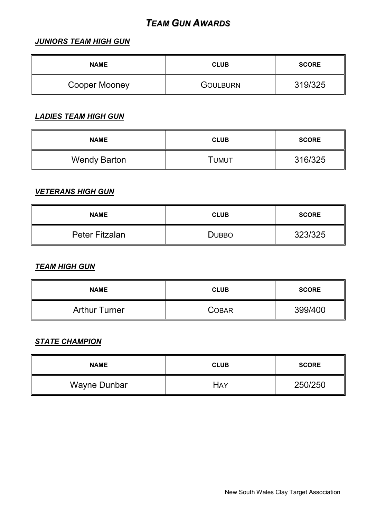### *TEAM GUN AWARDS*

### *JUNIORS TEAM HIGH GUN*

| <b>NAME</b>   | <b>CLUB</b>     | <b>SCORE</b> |
|---------------|-----------------|--------------|
| Cooper Mooney | <b>GOULBURN</b> | 319/325      |

### *LADIES TEAM HIGH GUN*

| <b>NAME</b>         | <b>CLUB</b> | <b>SCORE</b> |
|---------------------|-------------|--------------|
| <b>Wendy Barton</b> | Тимит       | 316/325      |

### *VETERANS HIGH GUN*

| <b>NAME</b>           | <b>CLUB</b>  | <b>SCORE</b> |
|-----------------------|--------------|--------------|
| <b>Peter Fitzalan</b> | <b>DUBBO</b> | 323/325      |

#### *TEAM HIGH GUN*

| <b>NAME</b>          | <b>CLUB</b>  | <b>SCORE</b> |
|----------------------|--------------|--------------|
| <b>Arthur Turner</b> | <b>COBAR</b> | 399/400      |

### *STATE CHAMPION*

| <b>NAME</b>  | <b>CLUB</b> | <b>SCORE</b> |
|--------------|-------------|--------------|
| Wayne Dunbar | HAY         | 250/250      |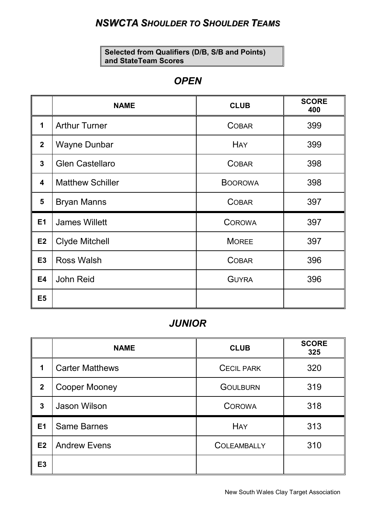### *NSWCTA SHOULDER TO SHOULDER TEAMS*

**Selected from Qualifiers (D/B, S/B and Points) and StateTeam Scores**

### *OPEN*

|                         | <b>NAME</b>             | <b>CLUB</b>    | <b>SCORE</b><br>400 |
|-------------------------|-------------------------|----------------|---------------------|
| 1                       | <b>Arthur Turner</b>    | <b>COBAR</b>   | 399                 |
| $\overline{2}$          | <b>Wayne Dunbar</b>     | <b>HAY</b>     | 399                 |
| $\mathbf{3}$            | <b>Glen Castellaro</b>  | <b>COBAR</b>   | 398                 |
| $\overline{\mathbf{4}}$ | <b>Matthew Schiller</b> | <b>BOOROWA</b> | 398                 |
| $5\phantom{1}$          | <b>Bryan Manns</b>      | <b>COBAR</b>   | 397                 |
| <b>E1</b>               | <b>James Willett</b>    | <b>COROWA</b>  | 397                 |
| E2                      | <b>Clyde Mitchell</b>   | <b>MOREE</b>   | 397                 |
| E3                      | <b>Ross Walsh</b>       | <b>COBAR</b>   | 396                 |
| <b>E4</b>               | <b>John Reid</b>        | <b>GUYRA</b>   | 396                 |
| E <sub>5</sub>          |                         |                |                     |

### *JUNIOR*

|                | <b>NAME</b>            | <b>CLUB</b>        | <b>SCORE</b><br>325 |
|----------------|------------------------|--------------------|---------------------|
| 1              | <b>Carter Matthews</b> | <b>CECIL PARK</b>  | 320                 |
| $\overline{2}$ | <b>Cooper Mooney</b>   | <b>GOULBURN</b>    | 319                 |
| 3              | Jason Wilson           | <b>COROWA</b>      | 318                 |
| <b>E1</b>      | <b>Same Barnes</b>     | <b>HAY</b>         | 313                 |
| E2             | <b>Andrew Evens</b>    | <b>COLEAMBALLY</b> | 310                 |
| E <sub>3</sub> |                        |                    |                     |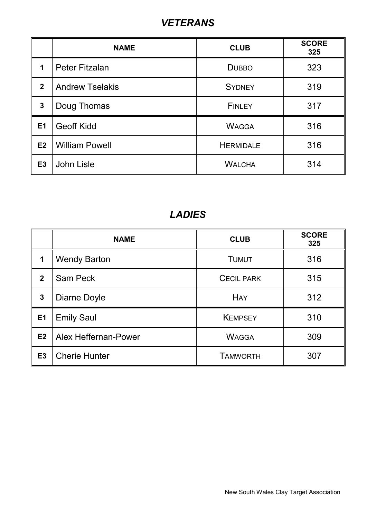# *VETERANS*

|                  | <b>NAME</b>            | <b>CLUB</b>      | <b>SCORE</b><br>325 |
|------------------|------------------------|------------------|---------------------|
| 1                | Peter Fitzalan         | <b>DUBBO</b>     | 323                 |
| $\boldsymbol{2}$ | <b>Andrew Tselakis</b> | <b>SYDNEY</b>    | 319                 |
| $\mathbf{3}$     | Doug Thomas            | <b>FINLEY</b>    | 317                 |
| E1               | <b>Geoff Kidd</b>      | <b>WAGGA</b>     | 316                 |
| E2               | <b>William Powell</b>  | <b>HERMIDALE</b> | 316                 |
| E3               | John Lisle             | <b>WALCHA</b>    | 314                 |

# *LADIES*

|              | <b>NAME</b>          | <b>CLUB</b>       | <b>SCORE</b><br>325 |
|--------------|----------------------|-------------------|---------------------|
| 1            | <b>Wendy Barton</b>  | <b>TUMUT</b>      | 316                 |
| $\mathbf{2}$ | <b>Sam Peck</b>      | <b>CECIL PARK</b> | 315                 |
| $\mathbf{3}$ | Diarne Doyle         | <b>HAY</b>        | 312                 |
| E1           | <b>Emily Saul</b>    | <b>KEMPSEY</b>    | 310                 |
| E2           | Alex Heffernan-Power | <b>WAGGA</b>      | 309                 |
| <b>E3</b>    | <b>Cherie Hunter</b> | <b>TAMWORTH</b>   | 307                 |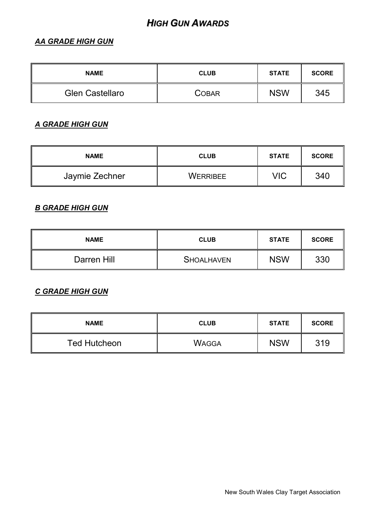### *HIGH GUN AWARDS*

### *AA GRADE HIGH GUN*

| <b>NAME</b>            | <b>CLUB</b> | <b>STATE</b> | <b>SCORE</b> |
|------------------------|-------------|--------------|--------------|
| <b>Glen Castellaro</b> | COBAR       | <b>NSW</b>   | 345          |

### *A GRADE HIGH GUN*

| <b>NAME</b>    | <b>CLUB</b> | <b>STATE</b> | <b>SCORE</b> |
|----------------|-------------|--------------|--------------|
| Jaymie Zechner | WERRIBEE    | VIC          | 340          |

# *B GRADE HIGH GUN*

| <b>NAME</b> | <b>CLUB</b>       | <b>STATE</b> | <b>SCORE</b> |
|-------------|-------------------|--------------|--------------|
| Darren Hill | <b>SHOALHAVEN</b> | <b>NSW</b>   | 330          |

#### *C GRADE HIGH GUN*

| <b>NAME</b>         | <b>CLUB</b>  | <b>STATE</b> | <b>SCORE</b> |
|---------------------|--------------|--------------|--------------|
| <b>Ted Hutcheon</b> | <b>WAGGA</b> | <b>NSW</b>   | 319          |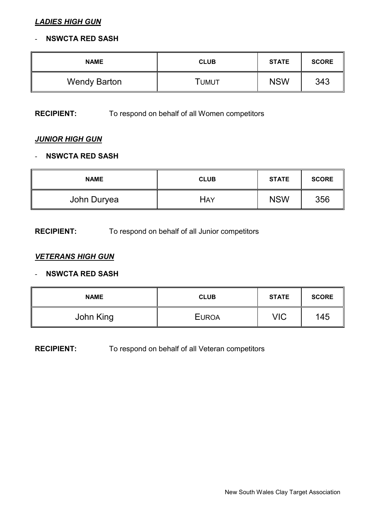#### *LADIES HIGH GUN*

#### - **NSWCTA RED SASH**

| <b>NAME</b>         | <b>CLUB</b> | <b>STATE</b> | <b>SCORE</b> |
|---------------------|-------------|--------------|--------------|
| <b>Wendy Barton</b> | Tumut       | <b>NSW</b>   | 343          |

#### **RECIPIENT:** To respond on behalf of all Women competitors

### *JUNIOR HIGH GUN*

#### - **NSWCTA RED SASH**

| <b>NAME</b> | <b>CLUB</b> | <b>STATE</b> | <b>SCORE</b> |
|-------------|-------------|--------------|--------------|
| John Duryea | HAY         | <b>NSW</b>   | 356          |

#### **RECIPIENT:** To respond on behalf of all Junior competitors

#### *VETERANS HIGH GUN*

#### - **NSWCTA RED SASH**

| <b>NAME</b> | <b>CLUB</b>  | <b>STATE</b> | <b>SCORE</b> |
|-------------|--------------|--------------|--------------|
| John King   | <b>EUROA</b> | <b>VIC</b>   | 145          |

#### **RECIPIENT:** To respond on behalf of all Veteran competitors